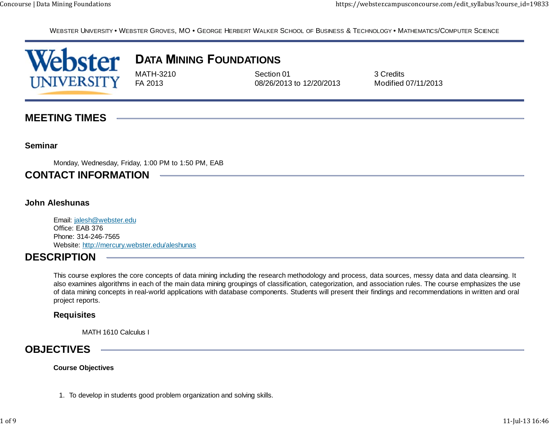WEBSTER UNIVERSITY • WEBSTER GROVES, MO • GEORGE HERBERT WALKER SCHOOL OF BUSINESS & TECHNOLOGY • MATHEMATICS/COMPUTER SCIENCE



# **ATA INING OUNDATIONS**

MATH-3210 Section 01 Section 01 3 Credits FA 2013 08/26/2013 to 12/20/2013 Modified 07/11/2013

## **MEETING TIMES**

### **Seminar**

Monday, Wednesday, Friday, 1:00 PM to 1:50 PM, EAB

## **CONTACT INFORMATION**

### **John Aleshunas**

Email: jalesh@webster.edu Office: EAB 376Phone: 314-246-7565Website: http://mercury.webster.edu/aleshunas

### **DESCRIPTION**

This course explores the core concepts of data mining including the research methodology and process, data sources, messy data and data cleansing. It also examines algorithms in each of the main data mining groupings of classification, categorization, and association rules. The course emphasizes the use of data mining concepts in real-world applications with database components. Students will present their findings and recommendations in written and oral project reports.

### **Requisites**

MATH 1610 Calculus I

### **OBJECTIVES**

#### **Course Objectives**

1. To develop in students good problem organization and solving skills.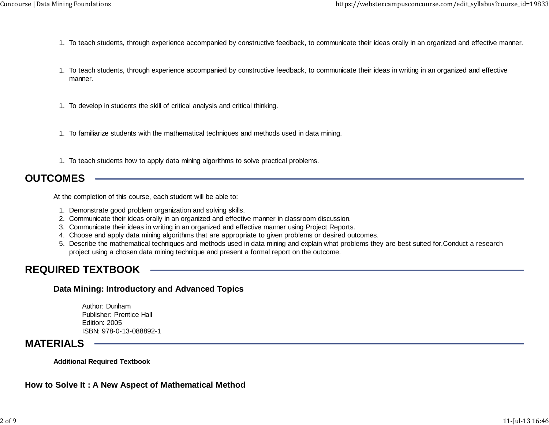- 1. To teach students, through experience accompanied by constructive feedback, to communicate their ideas orally in an organized and effective manner.
- 1. To teach students, through experience accompanied by constructive feedback, to communicate their ideas in writing in an organized and effective manner.
- 1. To develop in students the skill of critical analysis and critical thinking.
- 1. To familiarize students with the mathematical techniques and methods used in data mining.
- 1. To teach students how to apply data mining algorithms to solve practical problems.

### **OUTCOMES**

At the completion of this course, each student will be able to:

- 1. Demonstrate good problem organization and solving skills.
- 2. Communicate their ideas orally in an organized and effective manner in classroom discussion.
- 3. Communicate their ideas in writing in an organized and effective manner using Project Reports.
- 4. Choose and apply data mining algorithms that are appropriate to given problems or desired outcomes.
- 5. Describe the mathematical techniques and methods used in data mining and explain what problems they are best suited for.Conduct a research project using a chosen data mining technique and present a formal report on the outcome.

### **REQUIRED TEXTBOOK**

### **Data Mining: Introductory and Advanced Topics**

Author: DunhamPublisher: Prentice HallEdition: 2005ISBN: 978-0-13-088892-1

### **MATERIALS**

**Additional Required Textbook**

<u> The Communication of the Communication of</u>

### **How to Solve It : A New Aspect of Mathematical Method**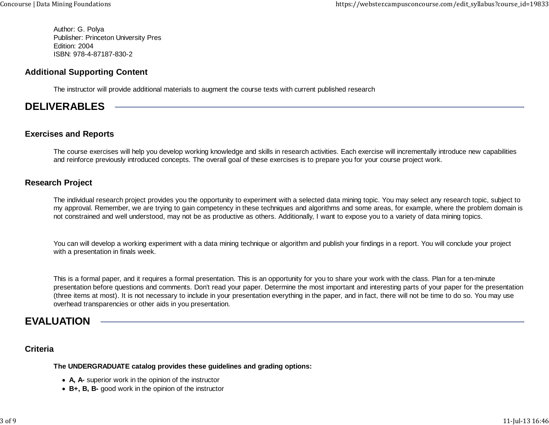Author: G. Polya Publisher: Princeton University Pres Edition: 2004ISBN: 978-4-87187-830-2

### **Additional Supporting Content**

The instructor will provide additional materials to augment the course texts with current published research

## **DELIVERABLES**

### **Exercises and Reports**

The course exercises will help you develop working knowledge and skills in research activities. Each exercise will incrementally introduce new capabilities and reinforce previously introduced concepts. The overall goal of these exercises is to prepare you for your course project work.

### **Research Project**

The individual research project provides you the opportunity to experiment with a selected data mining topic. You may select any research topic, subject to my approval. Remember, we are trying to gain competency in these techniques and algorithms and some areas, for example, where the problem domain is not constrained and well understood, may not be as productive as others. Additionally, I want to expose you to a variety of data mining topics.

You can will develop a working experiment with a data mining technique or algorithm and publish your findings in a report. You will conclude your project with a presentation in finals week.

This is a formal paper, and it requires a formal presentation. This is an opportunity for you to share your work with the class. Plan for a ten-minute presentation before questions and comments. Don't read your paper. Determine the most important and interesting parts of your paper for the presentation (three items at most). It is not necessary to include in your presentation everything in the paper, and in fact, there will not be time to do so. You may use overhead transparencies or other aids in you presentation.

## **EVALUATION**

### **Criteria**

### **The UNDERGRADUATE catalog provides these guidelines and grading options:**

- **A, A-** superior work in the opinion of the instructor
- **B+, B, B-** good work in the opinion of the instructor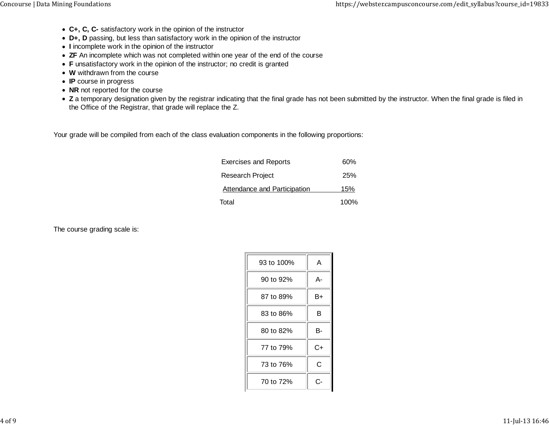- **C+, C, C-** satisfactory work in the opinion of the instructor
- **D+, D** passing, but less than satisfactory work in the opinion of the instructor
- **I** incomplete work in the opinion of the instructor
- **ZF** An incomplete which was not completed within one year of the end of the course
- **F** unsatisfactory work in the opinion of the instructor; no credit is granted
- **W** withdrawn from the course
- **IP** course in progress
- NR not reported for the course
- Z a temporary designation given by the registrar indicating that the final grade has not been submitted by the instructor. When the final grade is filed in the Office of the Registrar, that grade will replace the Z.

Your grade will be compiled from each of the class evaluation components in the following proportions:

| <b>Exercises and Reports</b>        | 60%  |
|-------------------------------------|------|
| <b>Research Project</b>             | 25%  |
| <b>Attendance and Participation</b> | 15%  |
| Total                               | 100% |

The course grading scale is:

| 93 to 100% | А  |
|------------|----|
| 90 to 92%  | А- |
| 87 to 89%  | B+ |
| 83 to 86%  | В  |
| 80 to 82%  | в- |
| 77 to 79%  | C+ |
| 73 to 76%  | С  |
| 70 to 72%  | င- |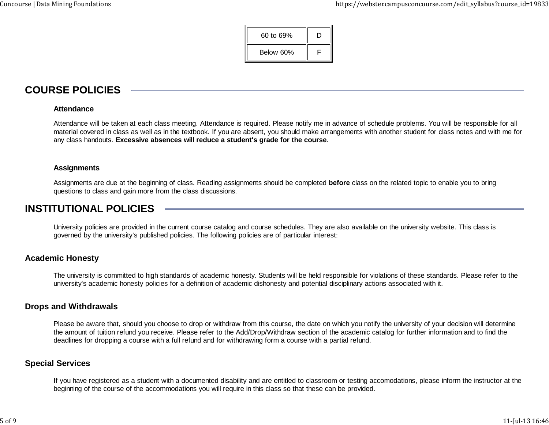| 60 to 69% | D |
|-----------|---|
| Below 60% | ⊏ |

## **COURSE POLICIES**

#### **Attendance**

Attendance will be taken at each class meeting. Attendance is required. Please notify me in advance of schedule problems. You will be responsible for all material covered in class as well as in the textbook. If you are absent, you should make arrangements with another student for class notes and with me for any class handouts. **Excessive absences will reduce a student's grade for the course**.

#### **Assignments**

Assignments are due at the beginning of class. Reading assignments should be completed **before** class on the related topic to enable you to bring questions to class and gain more from the class discussions.

## **INSTITUTIONAL POLICIES**

University policies are provided in the current course catalog and course schedules. They are also available on the university website. This class is governed by the university's published policies. The following policies are of particular interest:

#### **Academic Honesty**

The university is committed to high standards of academic honesty. Students will be held responsible for violations of these standards. Please refer to the university's academic honesty policies for a definition of academic dishonesty and potential disciplinary actions associated with it.

#### **Drops and Withdrawals**

Please be aware that, should you choose to drop or withdraw from this course, the date on which you notify the university of your decision will determine the amount of tuition refund you receive. Please refer to the Add/Drop/Withdraw section of the academic catalog for further information and to find the deadlines for dropping a course with a full refund and for withdrawing form a course with a partial refund.

### **Special Services**

If you have registered as a student with a documented disability and are entitled to classroom or testing accomodations, please inform the instructor at the beginning of the course of the accommodations you will require in this class so that these can be provided.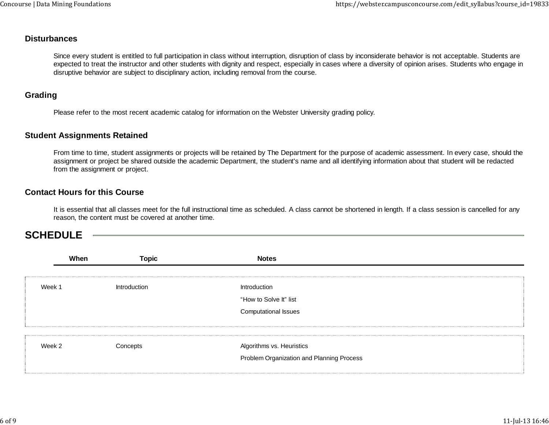### **Disturbances**

Since every student is entitled to full participation in class without interruption, disruption of class by inconsiderate behavior is not acceptable. Students are expected to treat the instructor and other students with dignity and respect, especially in cases where a diversity of opinion arises. Students who engage in disruptive behavior are subject to disciplinary action, including removal from the course.

### **Grading**

Please refer to the most recent academic catalog for information on the Webster University grading policy.

#### **Student Assignments Retained**

From time to time, student assignments or projects will be retained by The Department for the purpose of academic assessment. In every case, should the assignment or project be shared outside the academic Department, the student's name and all identifying information about that student will be redacted from the assignment or project.

### **Contact Hours for this Course**

It is essential that all classes meet for the full instructional time as scheduled. A class cannot be shortened in length. If a class session is cancelled for any reason, the content must be covered at another time.

### **SCHEDULE**

| When   | <b>Topic</b> | <b>Notes</b>                              |  |
|--------|--------------|-------------------------------------------|--|
|        |              |                                           |  |
| Week 1 | Introduction | Introduction                              |  |
|        |              | "How to Solve It" list                    |  |
|        |              | <b>Computational Issues</b>               |  |
|        |              |                                           |  |
|        |              |                                           |  |
| Week 2 | Concepts     | Algorithms vs. Heuristics                 |  |
|        |              | Problem Organization and Planning Process |  |
|        |              |                                           |  |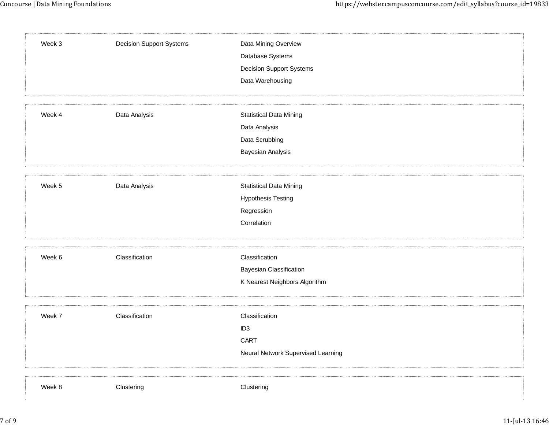| Week 3 | <b>Decision Support Systems</b> | Data Mining Overview<br>Database Systems<br><b>Decision Support Systems</b><br>Data Warehousing |
|--------|---------------------------------|-------------------------------------------------------------------------------------------------|
| Week 4 | Data Analysis                   | <b>Statistical Data Mining</b><br>Data Analysis<br>Data Scrubbing<br>Bayesian Analysis          |
| Week 5 | Data Analysis                   | <b>Statistical Data Mining</b><br><b>Hypothesis Testing</b><br>Regression<br>Correlation        |
| Week 6 | Classification                  | Classification<br><b>Bayesian Classification</b><br>K Nearest Neighbors Algorithm               |
| Week 7 | Classification                  | Classification<br>ID <sub>3</sub><br>CART<br>Neural Network Supervised Learning                 |
| Week 8 | Clustering                      | Clustering                                                                                      |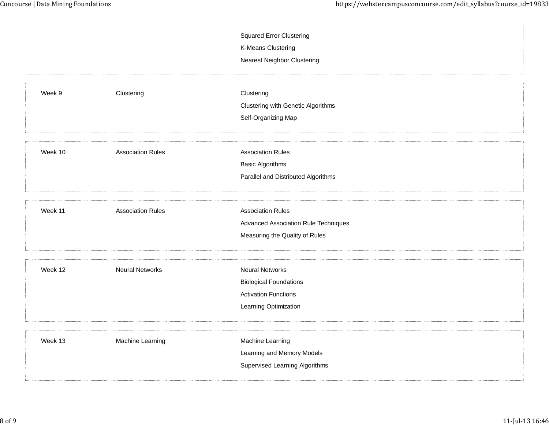|         |                          | <b>Squared Error Clustering</b>       |
|---------|--------------------------|---------------------------------------|
|         |                          | K-Means Clustering                    |
|         |                          | <b>Nearest Neighbor Clustering</b>    |
|         |                          |                                       |
|         |                          |                                       |
| Week 9  | Clustering               | Clustering                            |
|         |                          | Clustering with Genetic Algorithms    |
|         |                          | Self-Organizing Map                   |
|         |                          |                                       |
| Week 10 | <b>Association Rules</b> | <b>Association Rules</b>              |
|         |                          | <b>Basic Algorithms</b>               |
|         |                          | Parallel and Distributed Algorithms   |
|         |                          |                                       |
|         |                          |                                       |
| Week 11 | <b>Association Rules</b> | <b>Association Rules</b>              |
|         |                          | Advanced Association Rule Techniques  |
|         |                          | Measuring the Quality of Rules        |
|         |                          |                                       |
| Week 12 | <b>Neural Networks</b>   | <b>Neural Networks</b>                |
|         |                          | <b>Biological Foundations</b>         |
|         |                          | <b>Activation Functions</b>           |
|         |                          | Learning Optimization                 |
|         |                          |                                       |
| Week 13 | Machine Learning         | Machine Learning                      |
|         |                          | Learning and Memory Models            |
|         |                          | <b>Supervised Learning Algorithms</b> |
|         |                          |                                       |